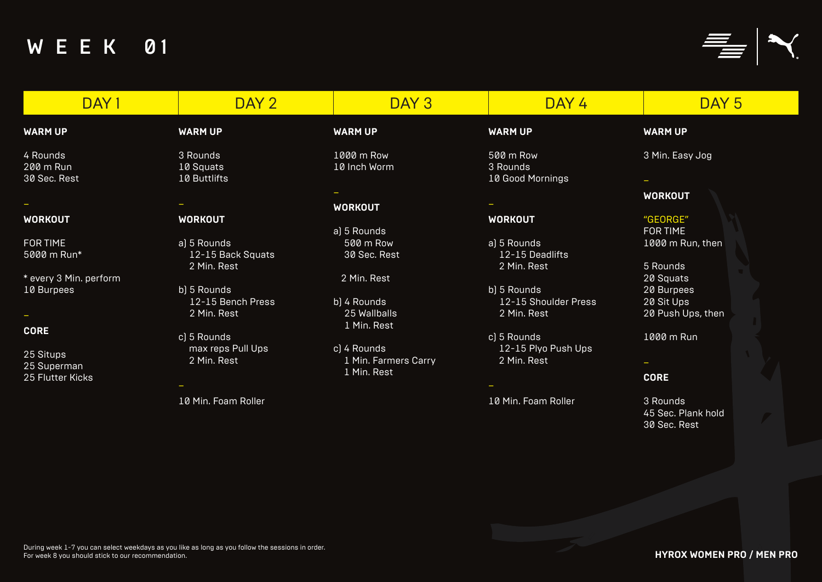



| DAY 1                                        | DAY 2                                           | DAY 3                                              | DAY 4                                         | DAY <sub>5</sub>                                |
|----------------------------------------------|-------------------------------------------------|----------------------------------------------------|-----------------------------------------------|-------------------------------------------------|
| <b>WARM UP</b>                               | <b>WARM UP</b>                                  | <b>WARM UP</b>                                     | <b>WARM UP</b>                                | <b>WARM UP</b>                                  |
| 4 Rounds<br>200 m Run<br>30 Sec. Rest        | 3 Rounds<br>10 Squats<br>10 Buttlifts           | 1000 m Row<br>10 Inch Worm                         | 500 m Row<br>3 Rounds<br>10 Good Mornings     | 3 Min. Easy Jog                                 |
| <b>WORKOUT</b>                               | <b>WORKOUT</b>                                  | <b>WORKOUT</b>                                     | <b>WORKOUT</b>                                | <b>WORKOUT</b><br>"GEORGE"                      |
| <b>FOR TIME</b><br>5000 m Run*               | a) 5 Rounds<br>12-15 Back Squats<br>2 Min. Rest | a) 5 Rounds<br>500 m Row<br>30 Sec. Rest           | a) 5 Rounds<br>12-15 Deadlifts<br>2 Min. Rest | <b>FOR TIME</b><br>1000 m Run, then<br>5 Rounds |
| * every 3 Min. perform<br>10 Burpees         | b) 5 Rounds<br>12-15 Bench Press                | 2 Min. Rest<br>b) 4 Rounds                         | b) 5 Rounds<br>12-15 Shoulder Press           | 20 Squats<br>20 Burpees<br>20 Sit Ups           |
| <b>CORE</b>                                  | 2 Min. Rest<br>c) 5 Rounds                      | 25 Wallballs<br>1 Min. Rest                        | 2 Min. Rest<br>c) 5 Rounds                    | 20 Push Ups, then<br>1000 m Run                 |
| 25 Situps<br>25 Superman<br>25 Flutter Kicks | max reps Pull Ups<br>2 Min. Rest                | c) 4 Rounds<br>1 Min. Farmers Carry<br>1 Min. Rest | 12-15 Plyo Push Ups<br>2 Min. Rest            | <b>CORE</b>                                     |
|                                              | 10 Min. Foam Roller                             |                                                    | 10 Min. Foam Roller                           | 3 Rounds<br>45 Sec. Plank hold<br>30 Sec. Rest  |

## **WARM UP**

# **WORKOUT**

# "GEORGE"

#### **CORE**

**HYROX WOMEN PRO / MEN PRO**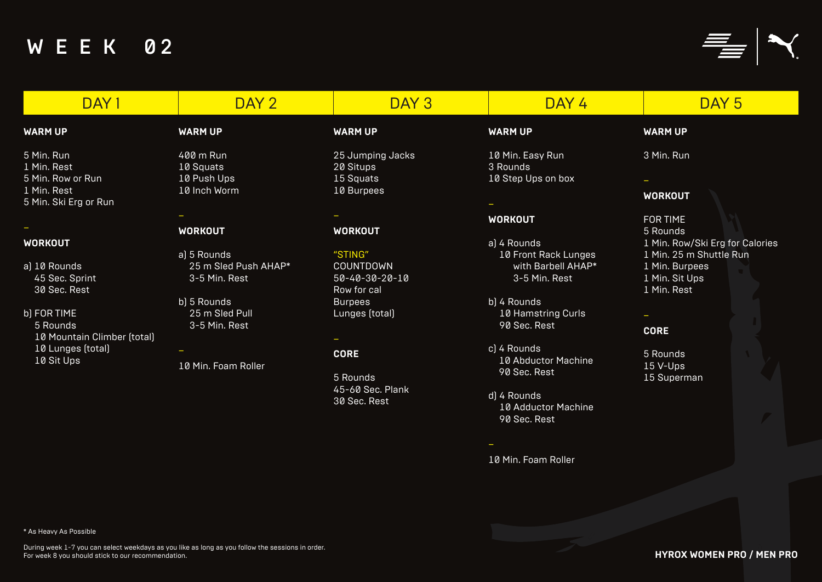# DAY 1 DAY 2 DAY 3 DAY 4 DAY 5

#### **WARM UP**

5 Min. Run 1 Min. Rest 5 Min. Row or Run 1 Min. Rest 5 Min. Ski Erg or Run

### –

# **WORKOUT**

- a) 10 Rounds 45 Sec. Sprint 30 Sec. Rest
- b) FOR TIME 5 Rounds 10 Mountain Climber (total) 10 Lunges (total) 10 Sit Ups

# **WARM UP**

400 m Run 10 Squats 10 Push Ups 10 Inch Worm

–

# **WORKOUT**

- a) 5 Rounds 25 m Sled Push AHAP\* 3-5 Min. Rest
- b) 5 Rounds 25 m Sled Pull 3-5 Min. Rest
- 10 Min. Foam Roller

–

**WARM UP**

10 Min. Easy Run 3 Rounds 10 Step Ups on box

–

# **WORKOUT**

- a) 4 Rounds 10 Front Rack Lunges with Barbell AHAP\* 3-5 Min. Rest
- b) 4 Rounds 10 Hamstring Curls 90 Sec. Rest
- c) 4 Rounds 10 Abductor Machine 90 Sec. Rest
- d) 4 Rounds 10 Adductor Machine 90 Sec. Rest

–

10 Min. Foam Roller

**WARM UP**

3 Min. Run

–

# **WORKOUT**

FOR TIME 5 Rounds 1 Min. Row/Ski Erg for Calories 1 Min. 25 m Shuttle Run 1 Min. Burpees 1 Min. Sit Ups 1 Min. Rest

# **CORE**

5 Rounds 15 V-Ups 15 Superman

#### **WARM UP**

25 Jumping Jacks 20 Situps 15 Squats 10 Burpees

–

# **WORKOUT**

"STING" COUNTDOWN 50-40-30-20-10 Row for cal **Burpees** Lunges (total)

# **CORE**

 $\overline{\phantom{0}}$ 

5 Rounds 45-60 Sec. Plank 30 Sec. Rest

**HYROX WOMEN PRO / MEN PRO**

\* As Heavy As Possible



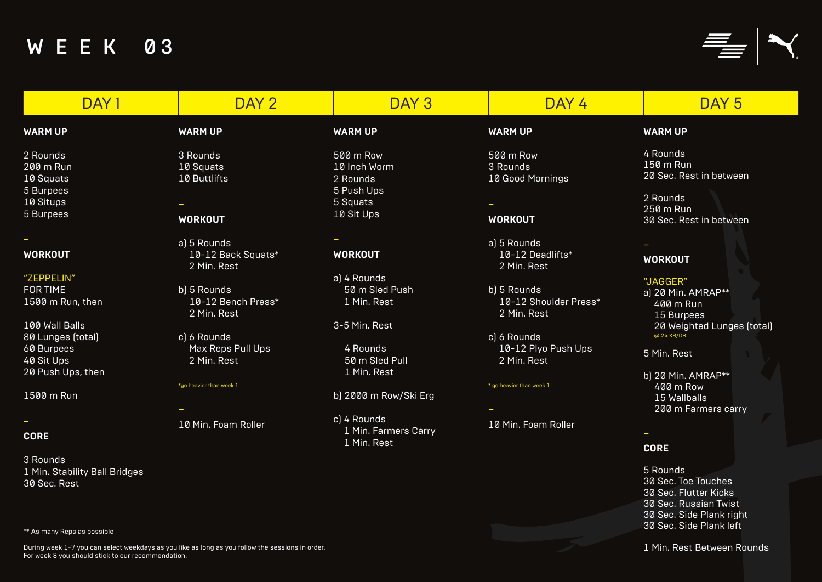| DAY <sub>1</sub>              | DAY 2                             | DAY <sub>3</sub>      | DAY 4                                | DAY 5                               |
|-------------------------------|-----------------------------------|-----------------------|--------------------------------------|-------------------------------------|
| <b>WARM UP</b>                | <b>WARM UP</b>                    | <b>WARM UP</b>        | <b>WARM UP</b>                       | <b>WARM UP</b>                      |
| 2 Rounds                      | 3 Rounds                          | 500 m Row             | 500 m Row                            | 4 Rounds                            |
| 200 m Run                     | 10 Squats                         | 10 Inch Worm          | 3 Rounds                             | $150 \text{ m}$ Run                 |
| 10 Squats                     | 10 Buttlifts                      | 2 Rounds              | 10 Good Mornings                     | 20 Sec. Rest in betwee              |
| 5 Burpees                     |                                   | 5 Push Ups            |                                      |                                     |
| 10 Situps                     |                                   | 5 Squats              |                                      | 2 Rounds                            |
| 5 Burpees                     | <b>WORKOUT</b>                    | 10 Sit Ups            | <b>WORKOUT</b>                       | 250 m Run<br>30 Sec. Rest in betwee |
|                               | a) 5 Rounds                       |                       | a) 5 Rounds                          |                                     |
| WORKOUT                       | 10-12 Back Squats*<br>2 Min. Rest | <b>WORKOUT</b>        | 10-12 Deadlifts*<br>2 Min. Rest      | <b>WORKOUT</b>                      |
| "ZEPPELIN"                    |                                   | a) 4 Rounds           |                                      | "JAGGER"                            |
| FOR TIME                      | b) 5 Rounds                       | 50 m Sled Push        | b) 5 Rounds                          | a) 20 Min. AMRAP**                  |
| 1500 m Run, then              | 10-12 Bench Press*<br>2 Min. Rest | 1 Min. Rest           | 10-12 Shoulder Press*<br>2 Min. Rest | 400 m Run<br>15 Burpees             |
| 100 Wall Balls                |                                   | 3-5 Min. Rest         |                                      | 20 Weighted Lunges                  |
| 80 Lunges (total)             | c) 6 Rounds                       |                       | c) 6 Rounds                          | @2xKB/DB                            |
| 60 Burpees                    | Max Reps Pull Ups                 | 4 Rounds              | 10-12 Plyo Push Ups                  |                                     |
| 40 Sit Ups                    | 2 Min. Rest                       | 50 m Sled Pull        | 2 Min. Rest                          | 5 Min. Rest                         |
| 20 Push Ups, then             |                                   | 1 Min. Rest           |                                      | b) 20 Min. AMRAP**                  |
|                               | *go heavier than week 1           |                       | * go heavier than week 1             | 400 m Row                           |
| 1500 m Run                    |                                   | b) 2000 m Row/Ski Erg |                                      | 15 Wallballs                        |
|                               |                                   |                       |                                      | 200 m Farmers carr                  |
|                               |                                   | c) 4 Rounds           |                                      |                                     |
|                               | 10 Min. Foam Roller               | 1 Min. Farmers Carry  | 10 Min. Foam Roller                  |                                     |
| <b>CORE</b>                   |                                   | 1 Min. Rest           |                                      | <b>CORE</b>                         |
| 3 Rounds                      |                                   |                       |                                      |                                     |
| 1 Min. Stability Ball Bridges |                                   |                       |                                      | 5 Rounds                            |
| 30 Sec. Rest                  |                                   |                       |                                      | 30 Sec. Toe Touches                 |
|                               |                                   |                       |                                      | 30 Sec. Flutter Kicks               |
|                               |                                   |                       |                                      | 20 Coo Duppion Tuint                |

#### **WARM UP**

4 Rounds 150 m Run 20 Sec. Rest in between

2 Rounds 250 m Run 30 Sec. Rest in between

#### **WORKOUT**

"JAGGER" a) 20 Min. AMRAP\*\* 400 m Run 15 Burpees 20 Weighted Lunges (total) @ 2x KB/DB

b) 20 Min. AMRAP\*\* 400 m Row 15 Wallballs 200 m Farmers carry

### **CORE**

5 Rounds 30 Sec. Toe Touches 30 Sec. Flutter Kicks 30 Sec. Russian Twist 30 Sec. Side Plank right 30 Sec. Side Plank left

1 Min. Rest Between Rounds

\*\* As many Reps as possible



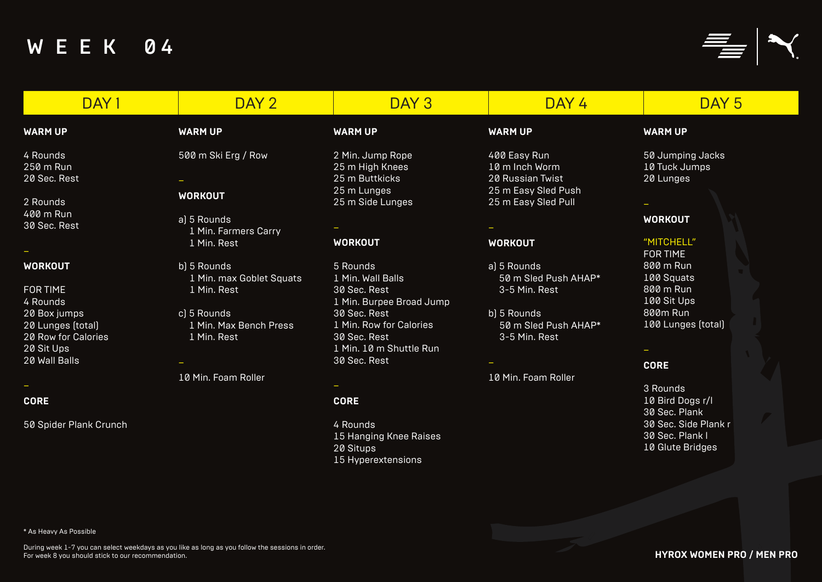| DAY <sub>1</sub>                                       | DAY 2                                                  | DAY 3                                                                 | DAY 4                                                | DAY 5                                                       |
|--------------------------------------------------------|--------------------------------------------------------|-----------------------------------------------------------------------|------------------------------------------------------|-------------------------------------------------------------|
| <b>WARM UP</b>                                         | <b>WARM UP</b>                                         | <b>WARM UP</b>                                                        | <b>WARM UP</b>                                       | <b>WARM UP</b>                                              |
| 4 Rounds<br>250 m Run                                  | 500 m Ski Erg / Row                                    | 2 Min. Jump Rope<br>25 m High Knees                                   | 400 Easy Run<br>10 m Inch Worm                       | 50 Jumping Jacks<br>10 Tuck Jumps                           |
| 20 Sec. Rest                                           |                                                        | 25 m Buttkicks                                                        | 20 Russian Twist                                     | 20 Lunges                                                   |
| 2 Rounds                                               | <b>WORKOUT</b>                                         | 25 m Lunges<br>25 m Side Lunges                                       | 25 m Easy Sled Push<br>25 m Easy Sled Pull           |                                                             |
| 400 m Run<br>30 Sec. Rest                              | a) 5 Rounds<br>1 Min. Farmers Carry                    |                                                                       |                                                      | <b>WORKOUT</b>                                              |
|                                                        | 1 Min. Rest                                            | <b>WORKOUT</b>                                                        | <b>WORKOUT</b>                                       | "MITCHELL"<br><b>FOR TIME</b>                               |
| WORKOUT<br><b>FOR TIME</b>                             | b) 5 Rounds<br>1 Min. max Goblet Squats<br>1 Min. Rest | 5 Rounds<br>1 Min. Wall Balls<br>30 Sec. Rest                         | a) 5 Rounds<br>50 m Sled Push AHAP*<br>3-5 Min. Rest | 800 m Run<br>100 Squats<br>800 m Run                        |
| 4 Rounds<br>20 Box jumps                               | c) 5 Rounds                                            | 1 Min. Burpee Broad Jump<br>30 Sec. Rest                              | b) 5 Rounds                                          | 100 Sit Ups<br>800m Run                                     |
| 20 Lunges (total)<br>20 Row for Calories<br>20 Sit Ups | 1 Min. Max Bench Press<br>1 Min. Rest                  | 1 Min. Row for Calories<br>30 Sec. Rest<br>1 Min. 10 m Shuttle Run    | 50 m Sled Push AHAP*<br>3-5 Min. Rest                | 100 Lunges (total)                                          |
| 20 Wall Balls                                          |                                                        | 30 Sec. Rest                                                          |                                                      | <b>CORE</b>                                                 |
|                                                        | 10 Min. Foam Roller                                    |                                                                       | 10 Min. Foam Roller                                  | 3 Rounds                                                    |
| <b>CORE</b>                                            |                                                        | <b>CORE</b>                                                           |                                                      | 10 Bird Dogs r/l<br>30 Sec. Plank                           |
| 50 Spider Plank Crunch                                 |                                                        | 4 Rounds<br>15 Hanging Knee Raises<br>20 Situps<br>15 Hyperextensions |                                                      | 30 Sec. Side Plank r<br>30 Sec. Plank I<br>10 Glute Bridges |
|                                                        |                                                        |                                                                       |                                                      |                                                             |

### **WARM UP**

#### –

### **WORKOUT**

### "MITCHELL"

#### **CORE**

**HYROX WOMEN PRO / MEN PRO**

\* As Heavy As Possible



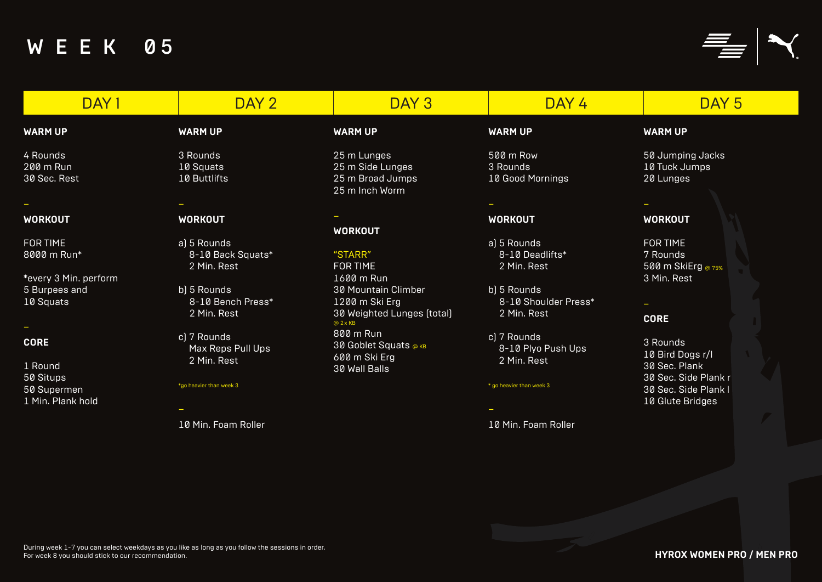4 Rounds 200 m Run 30 Sec. Rest

–

# **WORKOUT**

FOR TIME 8000 m Run\*

\*every 3 Min. perform 5 Burpees and 10 Squats

–

### **CORE**

1 Round 50 Situps 50 Supermen 1 Min. Plank hold

3 Rounds 10 Squats 10 Buttlifts

–

# **WORKOUT**

a) 5 Rounds 8-10 Back Squats\* 2 Min. Rest

b) 5 Rounds 8-10 Bench Press\* 2 Min. Rest

c) 7 Rounds Max Reps Pull Ups 2 Min. Rest

#### \*go heavier than week 3

–

10 Min. Foam Roller

# **WARM UP**

#### DAY 1 DAY 2 DAY 3 DAY 4 DAY 5 **WARM UP WARM UP WARM UP**

500 m Row 3 Rounds 10 Good Mornings

–

# **WORKOUT**

a) 5 Rounds 8-10 Deadlifts\* 2 Min. Rest

b) 5 Rounds 8-10 Shoulder Press\* 2 Min. Rest

c) 7 Rounds 8-10 Plyo Push Ups 2 Min. Rest

\* go heavier than week 3





– 10 Min. Foam Roller

#### **WARM UP**

50 Jumping Jacks 10 Tuck Jumps 20 Lunges

#### – **WORKOUT**

FOR TIME 7 Rounds 500 m SkiErg @ 75% 3 Min. Rest

–

### **CORE**

3 Rounds 10 Bird Dogs r/l 30 Sec. Plank 30 Sec. Side Plank r 30 Sec. Side Plank l 10 Glute Bridges

25 m Lunges 25 m Side Lunges 25 m Broad Jumps 25 m Inch Worm

#### – **WORKOUT**

#### "STARR"

FOR TIME 1600 m Run 30 Mountain Climber 1200 m Ski Erg 30 Weighted Lunges (total) @ 2x KB 800 m Run 30 Goblet Squats @ KB 600 m Ski Erg 30 Wall Balls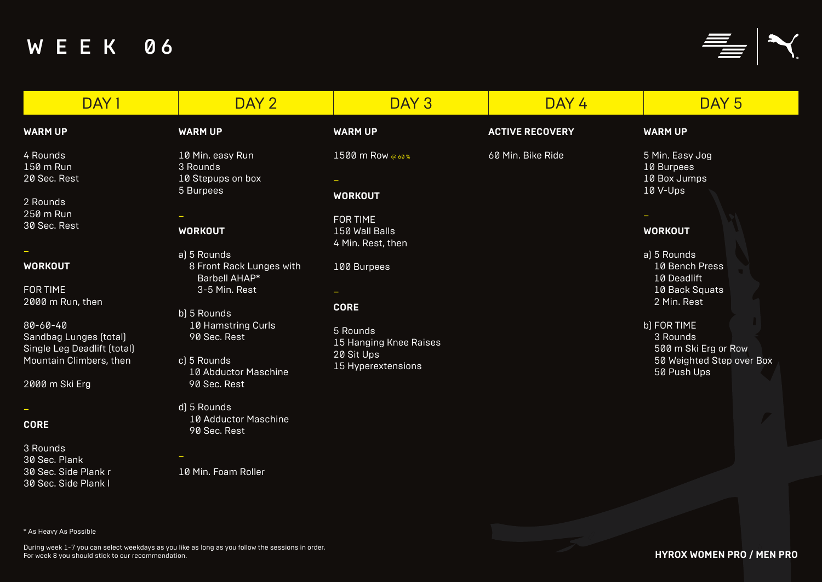| DAY <sub>1</sub>                                                                                                                                                              | DAY 2                                                                                                                                                                                        | DAY <sub>3</sub>                                                                                     | DAY 4                  | DAY <sub>5</sub>                                                                                                                                                      |
|-------------------------------------------------------------------------------------------------------------------------------------------------------------------------------|----------------------------------------------------------------------------------------------------------------------------------------------------------------------------------------------|------------------------------------------------------------------------------------------------------|------------------------|-----------------------------------------------------------------------------------------------------------------------------------------------------------------------|
| <b>WARM UP</b>                                                                                                                                                                | <b>WARM UP</b>                                                                                                                                                                               | <b>WARM UP</b>                                                                                       | <b>ACTIVE RECOVERY</b> | <b>WARM UP</b>                                                                                                                                                        |
| 4 Rounds<br>150 m Run<br>20 Sec. Rest<br>2 Rounds<br>250 m Run<br>30 Sec. Rest                                                                                                | 10 Min. easy Run<br>3 Rounds<br>10 Stepups on box<br>5 Burpees<br><b>WORKOUT</b>                                                                                                             | 1500 m Row @ 60%<br><b>WORKOUT</b><br><b>FOR TIME</b><br>150 Wall Balls<br>4 Min. Rest, then         | 60 Min. Bike Ride      | 5 Min. Easy Jog<br>10 Burpees<br>10 Box Jumps<br>10 V-Ups<br><b>WORKOUT</b>                                                                                           |
| <b>WORKOUT</b><br><b>FOR TIME</b><br>2000 m Run, then<br>$80 - 60 - 40$<br>Sandbag Lunges (total)<br>Single Leg Deadlift (total)<br>Mountain Climbers, then<br>2000 m Ski Erg | a) 5 Rounds<br>8 Front Rack Lunges with<br><b>Barbell AHAP*</b><br>3-5 Min. Rest<br>b) 5 Rounds<br>10 Hamstring Curls<br>90 Sec. Rest<br>c) 5 Rounds<br>10 Abductor Maschine<br>90 Sec. Rest | 100 Burpees<br><b>CORE</b><br>5 Rounds<br>15 Hanging Knee Raises<br>20 Sit Ups<br>15 Hyperextensions |                        | a) 5 Rounds<br>10 Bench Press<br>10 Deadlift<br>10 Back Squats<br>2 Min. Rest<br>b) FOR TIME<br>3 Rounds<br>500 m Ski Erg or Ro<br>50 Weighted Step ov<br>50 Push Ups |
| $\overline{\phantom{a}}$<br><b>CORE</b><br>3 Rounds<br>30 Sec. Plank<br>30 Sec. Side Plank r<br>30 Sec. Side Plank I<br>* As Heavy As Possible                                | d) 5 Rounds<br>10 Adductor Maschine<br>90 Sec. Rest<br>10 Min. Foam Roller                                                                                                                   |                                                                                                      |                        |                                                                                                                                                                       |

### **WARM UP**

#### **WORKOUT**

b) FOR TIME 3 Rounds 500 m Ski Erg or Row 50 Weighted Step over Box 50 Push Ups

**HYROX WOMEN PRO / MEN PRO**

During week 1-7 you can select weekdays as you like as long as you follow the sessions in order.

For week 8 you should stick to our recommendation.



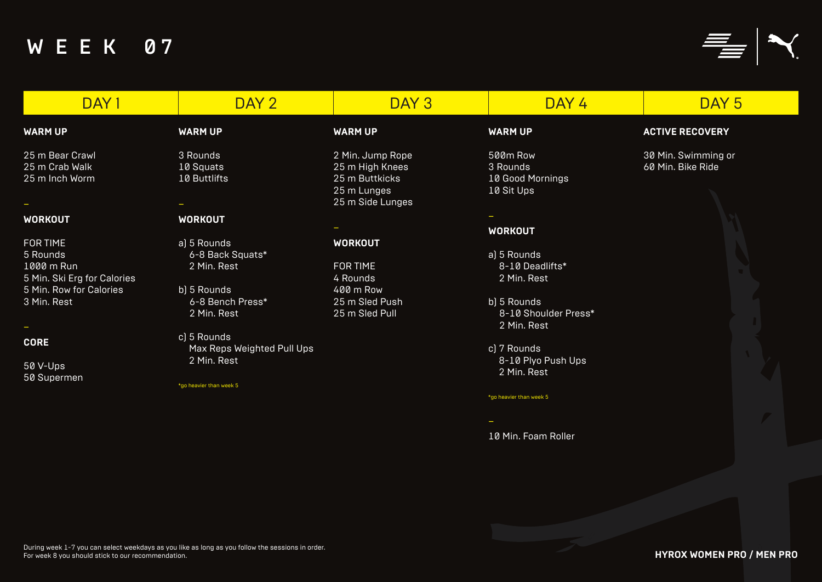| DAY 1                                                                                                              | DAY 2                                                                             | DAY <sub>3</sub>                                                                         | DAY 4                                                        | DAY <sub>5</sub>                         |
|--------------------------------------------------------------------------------------------------------------------|-----------------------------------------------------------------------------------|------------------------------------------------------------------------------------------|--------------------------------------------------------------|------------------------------------------|
| <b>WARM UP</b>                                                                                                     | <b>WARM UP</b>                                                                    | <b>WARM UP</b>                                                                           | <b>WARM UP</b>                                               | <b>ACTIVE RECOVERY</b>                   |
| 25 m Bear Crawl<br>25 m Crab Walk<br>25 m Inch Worm                                                                | 3 Rounds<br>10 Squats<br>10 Buttlifts                                             | 2 Min. Jump Rope<br>25 m High Knees<br>25 m Buttkicks<br>25 m Lunges<br>25 m Side Lunges | 500m Row<br>3 Rounds<br>10 Good Mornings<br>10 Sit Ups       | 30 Min. Swimming or<br>60 Min. Bike Ride |
| <b>WORKOUT</b>                                                                                                     | <b>WORKOUT</b>                                                                    |                                                                                          | <b>WORKOUT</b>                                               |                                          |
| <b>FOR TIME</b><br>5 Rounds<br>1000 m Run<br>5 Min. Ski Erg for Calories<br>5 Min. Row for Calories<br>3 Min. Rest | a) 5 Rounds<br>6-8 Back Squats*<br>2 Min. Rest<br>b) 5 Rounds<br>6-8 Bench Press* | <b>WORKOUT</b><br><b>FOR TIME</b><br>4 Rounds<br>400 m Row<br>25 m Sled Push             | a) 5 Rounds<br>8-10 Deadlifts*<br>2 Min. Rest<br>b) 5 Rounds |                                          |
|                                                                                                                    | 2 Min. Rest<br>c) 5 Rounds                                                        | 25 m Sled Pull                                                                           | 8-10 Shoulder Press*<br>2 Min. Rest                          |                                          |
| <b>CORE</b><br>50 V-Ups<br>50 Supermen                                                                             | Max Reps Weighted Pull Ups<br>2 Min. Rest<br>*go heavier than week 5              |                                                                                          | c) 7 Rounds<br>8-10 Plyo Push Ups<br>2 Min. Rest             |                                          |
|                                                                                                                    |                                                                                   |                                                                                          | *go heavier than week 5                                      |                                          |
|                                                                                                                    |                                                                                   |                                                                                          | $\sim$                                                       |                                          |





10 Min. Foam Roller

## **ACTIVE RECOVERY**